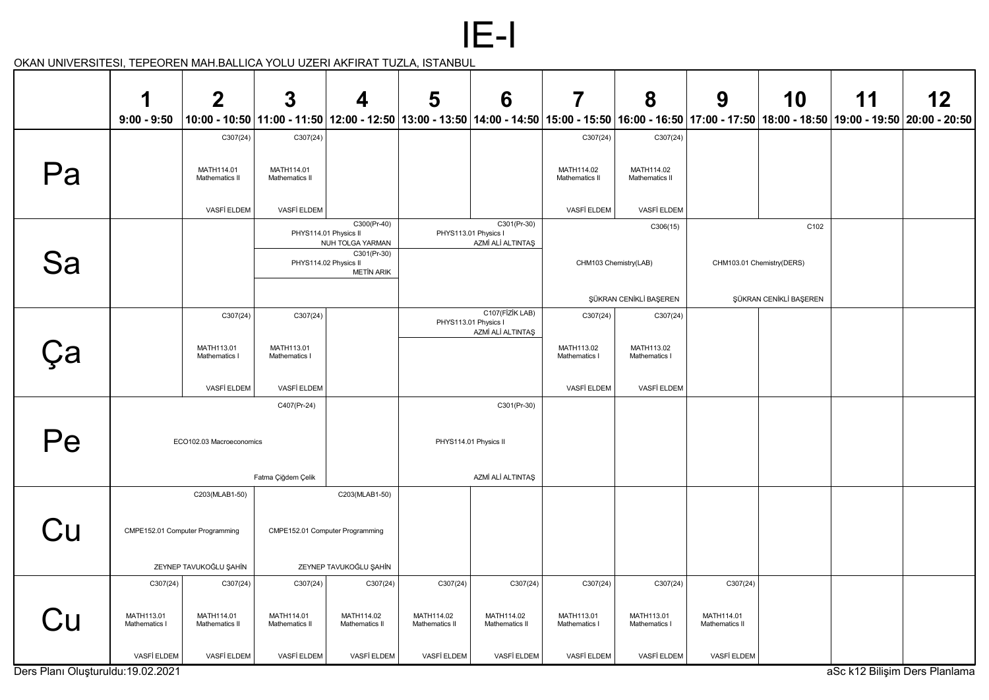

OKAN UNIVERSITESI, TEPEOREN MAH.BALLICA YOLU UZERI AKFIRAT TUZLA, ISTANBUL

|                                   | 1                                                | $\overline{2}$                  | $\boldsymbol{3}$                                          | $\overline{\mathbf{4}}$                                  | $5\phantom{1}$               | 6                                | 7                                                                                                                                                         | 8                            | 9                            | 10                     | 11                            | 12 |
|-----------------------------------|--------------------------------------------------|---------------------------------|-----------------------------------------------------------|----------------------------------------------------------|------------------------------|----------------------------------|-----------------------------------------------------------------------------------------------------------------------------------------------------------|------------------------------|------------------------------|------------------------|-------------------------------|----|
|                                   | $9:00 - 9:50$                                    |                                 |                                                           |                                                          |                              |                                  | 10:00 - 10:50 11:00 - 11:50 12:00 - 12:50 13:00 - 13:50 14:00 - 14:50 15:00 - 15:50 16:00 - 16:50 17:00 - 17:50 18:00 - 18:50 19:00 - 19:50 20:00 - 20:50 |                              |                              |                        |                               |    |
|                                   |                                                  | C307(24)                        | C307(24)                                                  |                                                          |                              |                                  | C307(24)                                                                                                                                                  | C307(24)                     |                              |                        |                               |    |
| Pa                                |                                                  | MATH114.01<br>Mathematics II    | MATH114.01<br>Mathematics II                              |                                                          |                              |                                  | MATH114.02<br>Mathematics II                                                                                                                              | MATH114.02<br>Mathematics II |                              |                        |                               |    |
|                                   |                                                  | VASFİ ELDEM                     | VASFİ ELDEM                                               |                                                          |                              |                                  | VASFİ ELDEM                                                                                                                                               | VASFİ ELDEM                  |                              |                        |                               |    |
|                                   |                                                  |                                 |                                                           | C300(Pr-40)<br>PHYS114.01 Physics II<br>NUH TOLGA YARMAN | PHYS113.01 Physics I         | C301(Pr-30)<br>AZMİ ALİ ALTINTAŞ |                                                                                                                                                           | C306(15)                     |                              | C102                   |                               |    |
| Sa                                |                                                  |                                 | C301(Pr-30)<br>PHYS114.02 Physics II<br><b>METİN ARIK</b> |                                                          |                              |                                  | CHM103 Chemistry(LAB)                                                                                                                                     |                              | CHM103.01 Chemistry(DERS)    |                        |                               |    |
|                                   |                                                  |                                 |                                                           |                                                          |                              |                                  |                                                                                                                                                           | ŞÜKRAN CENİKLİ BAŞEREN       |                              | ŞÜKRAN CENİKLİ BAŞEREN |                               |    |
|                                   |                                                  | C307(24)                        | C307(24)                                                  |                                                          | PHYS113.01 Physics I         | C107(FİZİK LAB)                  | C307(24)<br>C307(24)                                                                                                                                      |                              |                              |                        |                               |    |
|                                   |                                                  | MATH113.01<br>Mathematics I     | MATH113.01<br>Mathematics I                               |                                                          |                              | AZMİ ALİ ALTINTAŞ                | MATH113.02<br>Mathematics I                                                                                                                               | MATH113.02<br>Mathematics I  |                              |                        |                               |    |
|                                   |                                                  | VASFİ ELDEM                     | VASFİ ELDEM                                               |                                                          |                              |                                  | VASFİ ELDEM                                                                                                                                               | VASFİ ELDEM                  |                              |                        |                               |    |
|                                   |                                                  | C407(Pr-24)                     |                                                           |                                                          |                              | C301(Pr-30)                      |                                                                                                                                                           |                              |                              |                        |                               |    |
| Pe                                | ECO102.03 Macroeconomics                         |                                 |                                                           | PHYS114.01 Physics II                                    |                              |                                  |                                                                                                                                                           |                              |                              |                        |                               |    |
|                                   |                                                  |                                 | Fatma Çiğdem Çelik                                        |                                                          |                              | AZMİ ALİ ALTINTAŞ                |                                                                                                                                                           |                              |                              |                        |                               |    |
|                                   |                                                  | C203(MLAB1-50)                  |                                                           | C203(MLAB1-50)                                           |                              |                                  |                                                                                                                                                           |                              |                              |                        |                               |    |
| $\cdot$ 1                         |                                                  | CMPE152.01 Computer Programming | CMPE152.01 Computer Programming                           |                                                          |                              |                                  |                                                                                                                                                           |                              |                              |                        |                               |    |
|                                   | ZEYNEP TAVUKOĞLU ŞAHİN<br>ZEYNEP TAVUKOĞLU ŞAHİN |                                 |                                                           |                                                          |                              |                                  |                                                                                                                                                           |                              |                              |                        |                               |    |
|                                   | C307(24)                                         | C307(24)                        | C307(24)                                                  | C307(24)                                                 | C307(24)                     | C307(24)                         | C307(24)                                                                                                                                                  | C307(24)                     | C307(24)                     |                        |                               |    |
|                                   | MATH113.01<br>Mathematics I                      | MATH114.01<br>Mathematics II    | MATH114.01<br>Mathematics II                              | MATH114.02<br>Mathematics II                             | MATH114.02<br>Mathematics II | MATH114.02<br>Mathematics II     | MATH113.01<br>Mathematics I                                                                                                                               | MATH113.01<br>Mathematics I  | MATH114.01<br>Mathematics II |                        |                               |    |
| Ders Plani Oluşturuldu:19.02.2021 | VASFİ ELDEM                                      | VASFİ ELDEM                     | VASFİ ELDEM                                               | VASFİ ELDEM                                              | VASFİ ELDEM                  | VASFİ ELDEM                      | VASFİ ELDEM                                                                                                                                               | VASFİ ELDEM                  | VASFİ ELDEM                  |                        | aSc k12 Bilişim Ders Planlama |    |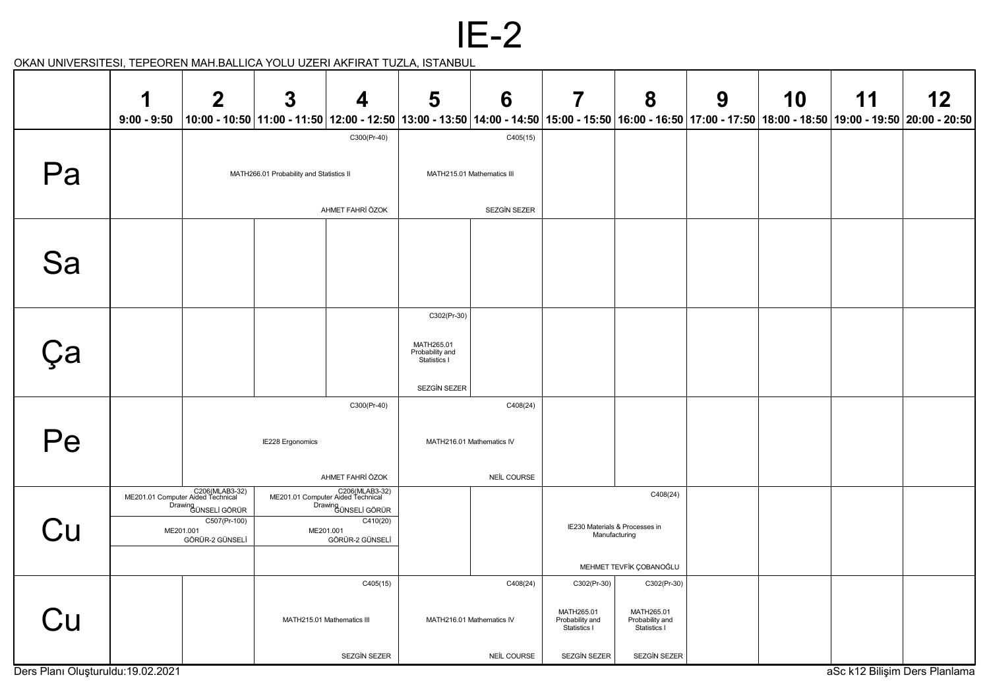## IE-2

OKAN UNIVERSITESI, TEPEOREN MAH.BALLICA YOLU UZERI AKFIRAT TUZLA, ISTANBUL

|                                    | 1             | $\overline{2}$                                                                                                                  | $\mathbf{3}$ | $\overline{\mathbf{4}}$                                                                                                     | 5                                                                            | 6                                                            | $\overline{\mathbf{7}}$                                                                                                                                             | 8            | 9 | 10 | 11 | 12                            |
|------------------------------------|---------------|---------------------------------------------------------------------------------------------------------------------------------|--------------|-----------------------------------------------------------------------------------------------------------------------------|------------------------------------------------------------------------------|--------------------------------------------------------------|---------------------------------------------------------------------------------------------------------------------------------------------------------------------|--------------|---|----|----|-------------------------------|
|                                    | $9:00 - 9:50$ |                                                                                                                                 |              |                                                                                                                             |                                                                              |                                                              | 10:00 - 10:50  11:00 - 11:50  12:00 - 12:50  13:00 - 13:50  14:00 - 14:50  15:00 - 15:50  16:00 - 16:50  17:00 - 17:50  18:00 - 18:50  19:00 - 19:50  20:00 - 20:50 |              |   |    |    |                               |
| Pa                                 |               | C300(Pr-40)<br>MATH266.01 Probability and Statistics II<br>AHMET FAHRİ ÖZOK                                                     |              |                                                                                                                             |                                                                              | C405(15)<br>MATH215.01 Mathematics III<br>SEZGİN SEZER       |                                                                                                                                                                     |              |   |    |    |                               |
| Sa                                 |               |                                                                                                                                 |              |                                                                                                                             |                                                                              |                                                              |                                                                                                                                                                     |              |   |    |    |                               |
| ìа                                 |               |                                                                                                                                 |              |                                                                                                                             | C302(Pr-30)<br>MATH265.01<br>Probability and<br>Statistics I<br>SEZGİN SEZER |                                                              |                                                                                                                                                                     |              |   |    |    |                               |
| Pe                                 |               | C300(Pr-40)<br>IE228 Ergonomics<br>AHMET FAHRİ ÖZOK                                                                             |              |                                                                                                                             |                                                                              | C408(24)<br>MATH216.01 Mathematics IV<br>NEİL COURSE         |                                                                                                                                                                     |              |   |    |    |                               |
| $\bigcap \mathbf{I}$               |               | C206(MLAB3-32)<br>ME201.01 Computer Aided Technical<br>Drawing<br>GÜNSELI GÖRÜR<br>C507(Pr-100)<br>ME201.001<br>GÖRÜR-2 GÜNSELİ |              | C206(MLAB3-32)<br>ME201.01 Computer Aided Technical<br>Drawing<br>GÜNSELİ GÖRÜR<br>C410(20)<br>ME201.001<br>GÖRÜR-2 GÜNSELİ |                                                                              |                                                              | IE230 Materials & Processes in<br>Manufacturing                                                                                                                     | C408(24)     |   |    |    |                               |
| $\gamma_U$                         |               | C405(15)<br>MATH215.01 Mathematics III                                                                                          |              |                                                                                                                             | C408(24)<br>MATH216.01 Mathematics IV                                        | C302(Pr-30)<br>MATH265.01<br>Probability and<br>Statistics I | MEHMET TEVFİK ÇOBANOĞLU<br>C302(Pr-30)<br>MATH265.01<br>Probability and<br>Statistics I                                                                             |              |   |    |    |                               |
| Ders Planı Oluşturuldu: 19.02.2021 |               |                                                                                                                                 |              | <b>SEZGİN SEZER</b>                                                                                                         |                                                                              | NEİL COURSE                                                  | <b>SEZGİN SEZER</b>                                                                                                                                                 | SEZGİN SEZER |   |    |    | aSc k12 Bilişim Ders Planlama |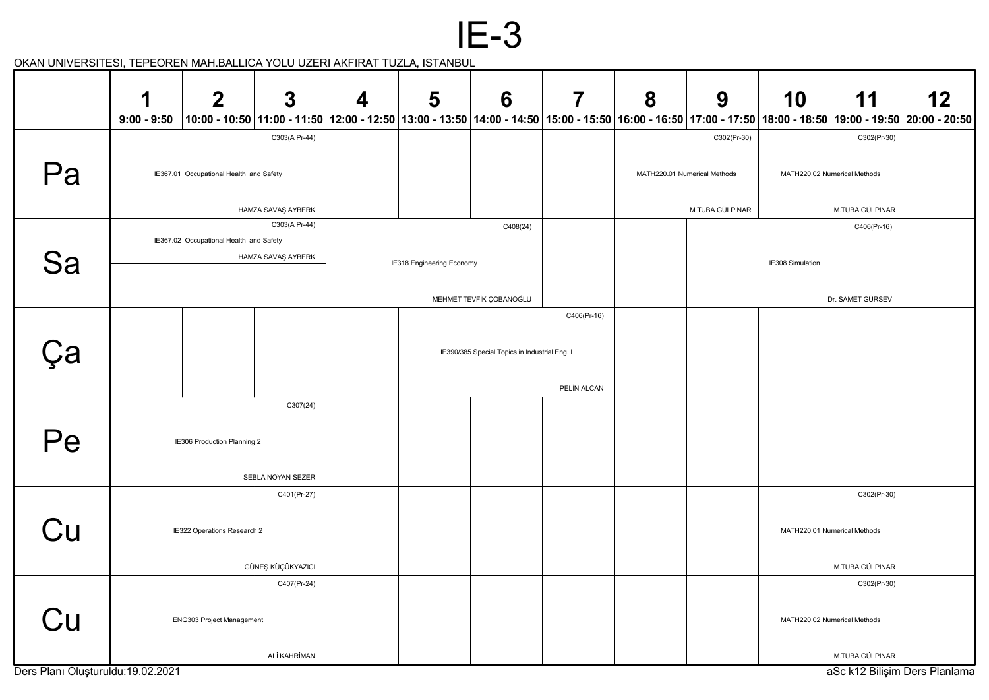## IE-3

OKAN UNIVERSITESI, TEPEOREN MAH.BALLICA YOLU UZERI AKFIRAT TUZLA, ISTANBUL

|                   | 1                                                        | $\boldsymbol{2}$                        | $\boldsymbol{3}$                                                                                                                                             | 4 | 5                                             | 6                                             | 7           | 8 | 9                            | 10               | 11                           | 12 |
|-------------------|----------------------------------------------------------|-----------------------------------------|--------------------------------------------------------------------------------------------------------------------------------------------------------------|---|-----------------------------------------------|-----------------------------------------------|-------------|---|------------------------------|------------------|------------------------------|----|
|                   | $9:00 - 9:50$                                            |                                         | $ 10:00 - 10:50 11:00 - 11:50 12:00 - 12:50 13:00 - 13:50 14:00 - 14:50 15:00 - 15:50 16:00 - 16:50 17:00 - 17:50 18:00 - 18:50 19:00 - 19:50 20:00 - 20:50$ |   |                                               |                                               |             |   |                              |                  |                              |    |
|                   |                                                          |                                         | C303(A Pr-44)                                                                                                                                                |   |                                               |                                               |             |   | C302(Pr-30)                  |                  | C302(Pr-30)                  |    |
| Pa                |                                                          | IE367.01 Occupational Health and Safety |                                                                                                                                                              |   |                                               |                                               |             |   | MATH220.01 Numerical Methods |                  | MATH220.02 Numerical Methods |    |
|                   |                                                          |                                         | HAMZA SAVAŞ AYBERK                                                                                                                                           |   |                                               |                                               |             |   | M.TUBA GÜLPINAR              |                  | M.TUBA GÜLPINAR              |    |
|                   | C303(A Pr-44)<br>IE367.02 Occupational Health and Safety |                                         |                                                                                                                                                              |   |                                               | C408(24)                                      |             |   |                              |                  | C406(Pr-16)                  |    |
| Sa                |                                                          |                                         | HAMZA SAVAŞ AYBERK                                                                                                                                           |   | IE318 Engineering Economy<br>IE308 Simulation |                                               |             |   |                              |                  |                              |    |
|                   |                                                          |                                         |                                                                                                                                                              |   |                                               |                                               |             |   |                              |                  |                              |    |
|                   |                                                          |                                         |                                                                                                                                                              |   |                                               | MEHMET TEVFİK ÇOBANOĞLU                       |             |   |                              | Dr. SAMET GÜRSEV |                              |    |
|                   |                                                          |                                         |                                                                                                                                                              |   |                                               |                                               | C406(Pr-16) |   |                              |                  |                              |    |
| ċа                |                                                          |                                         |                                                                                                                                                              |   |                                               | IE390/385 Special Topics in Industrial Eng. I |             |   |                              |                  |                              |    |
|                   |                                                          |                                         |                                                                                                                                                              |   |                                               |                                               |             |   |                              |                  |                              |    |
|                   |                                                          |                                         | C307(24)                                                                                                                                                     |   |                                               |                                               | PELİN ALCAN |   |                              |                  |                              |    |
|                   |                                                          |                                         |                                                                                                                                                              |   |                                               |                                               |             |   |                              |                  |                              |    |
| Pe                | IE306 Production Planning 2                              |                                         |                                                                                                                                                              |   |                                               |                                               |             |   |                              |                  |                              |    |
|                   |                                                          |                                         |                                                                                                                                                              |   |                                               |                                               |             |   |                              |                  |                              |    |
|                   |                                                          |                                         | SEBLA NOYAN SEZER<br>C401(Pr-27)                                                                                                                             |   |                                               |                                               |             |   |                              |                  | C302(Pr-30)                  |    |
|                   |                                                          |                                         |                                                                                                                                                              |   |                                               |                                               |             |   |                              |                  |                              |    |
| Cu                |                                                          | IE322 Operations Research 2             |                                                                                                                                                              |   |                                               |                                               |             |   |                              |                  | MATH220.01 Numerical Methods |    |
|                   | GÜNEŞ KÜÇÜKYAZICI                                        |                                         |                                                                                                                                                              |   |                                               |                                               |             |   |                              |                  | M.TUBA GÜLPINAR              |    |
|                   |                                                          | C407(Pr-24)                             |                                                                                                                                                              |   |                                               |                                               |             |   |                              |                  | C302(Pr-30)                  |    |
| $\bigcap_{i=1}^n$ |                                                          | ENG303 Project Management               |                                                                                                                                                              |   |                                               |                                               |             |   |                              |                  | MATH220.02 Numerical Methods |    |
|                   |                                                          |                                         | ALİ KAHRİMAN                                                                                                                                                 |   |                                               |                                               |             |   |                              |                  | M.TUBA GÜLPINAR              |    |

Ders Planı Oluşturuldu:19.02.2021 aSc k12 Bilişim Ders Planlama